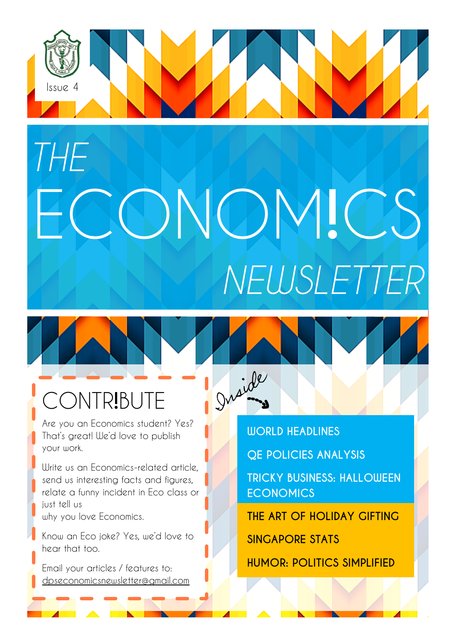# Issue 4 ECONOM**!**CS *THE NEWSLETTER*

Draide

#### CONTR**!**BUTE

Are you an Economics student? Yes? That's great! We'd love to publish your work.

Write us an Economics-related article, send us interesting facts and figures, relate a funny incident in Eco class or just tell us

why you love Economics.

Know an Eco joke? Yes, we'd love to hear that too.

Email your articles / features to: dpseconomicsnewsletter@gmail.com **WORLD HEADLINES QE POLICIES ANALYSIS TRICKY BUSINESS: HALLOWEEN ECONOMICS THE ART OF HOLIDAY GIFTING**

**SINGAPORE STATS**

**HUMOR: POLITICS SIMPLIFIED**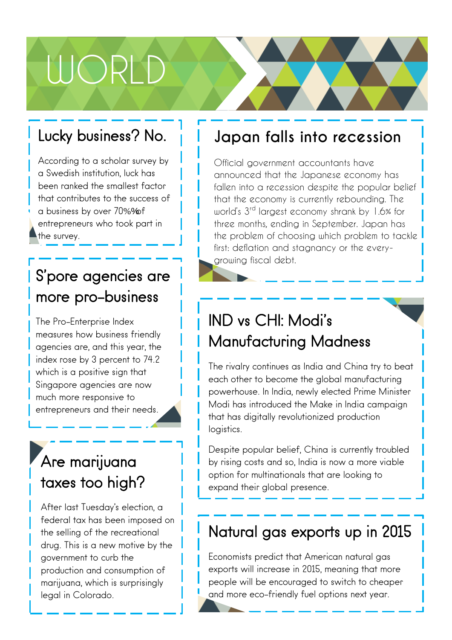## WORLD

#### Lucky business? No.

According to a scholar survey by a Swedish institution, luck has been ranked the smallest factor that contributes to the success of a business by over 70%% f entrepreneurs who took part in the survey.

#### S'pore agencies are more pro-business

The Pro-Enterprise Index measures how business friendly agencies are, and this year, the index rose by 3 percent to 74.2 which is a positive sign that Singapore agencies are now much more responsive to entrepreneurs and their needs.

#### Are marijuana taxes too high?

00 federal tax has been imposed on After last Tuesday's election, a the selling of the recreational drug. This is a new motive by the government to curb the production and consumption of marijuana, which is surprisingly legal in Colorado.

#### **Japan falls into recession**

Official government accountants have announced that the Japanese economy has fallen into a recession despite the popular belief that the economy is currently rebounding. The world's 3rd largest economy shrank by 1.6% for three months, ending in September. Japan has the problem of choosing which problem to tackle first: deflation and stagnancy or the everygrowing fiscal debt.

#### IND vs CHI: Modi's Manufacturing Madness

The rivalry continues as India and China try to beat each other to become the global manufacturing powerhouse. In India, newly elected Prime Minister Modi has introduced the Make in India campaign that has digitally revolutionized production logistics.

Despite popular belief, China is currently troubled by rising costs and so, India is now a more viable option for multinationals that are looking to expand their global presence.

#### Natural gas exports up in 2015

Economists predict that American natural gas exports will increase in 2015, meaning that more people will be encouraged to switch to cheaper and more eco-friendly fuel options next year.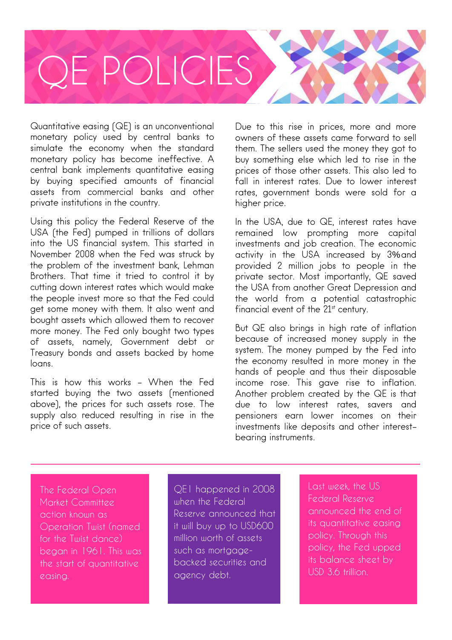

Quantitative easing (QE) is an unconventional monetary policy used by central banks to simulate the economy when the standard monetary policy has become ineffective. A central bank implements quantitative easing by buying specified amounts of financial assets from commercial banks and other private institutions in the country.

Using this policy the Federal Reserve of the USA (the Fed) pumped in trillions of dollars into the US financial system. This started in November 2008 when the Fed was struck by the problem of the investment bank, Lehman Brothers. That time it tried to control it by cutting down interest rates which would make the people invest more so that the Fed could get some money with them. It also went and bought assets which allowed them to recover more money. The Fed only bought two types of assets, namely, Government debt or Treasury bonds and assets backed by home loans.

This is how this works – When the Fed started buying the two assets (mentioned above), the prices for such assets rose. The supply also reduced resulting in rise in the price of such assets.

Due to this rise in prices, more and more owners of these assets came forward to sell them. The sellers used the money they got to buy something else which led to rise in the prices of those other assets. This also led to fall in interest rates. Due to lower interest rates, government bonds were sold for a higher price.

In the USA, due to QE, interest rates have remained low prompting more capital investments and job creation. The economic activity in the USA increased by 3% and provided 2 million jobs to people in the private sector. Most importantly, QE saved the USA from another Great Depression and the world from a potential catastrophic financial event of the  $21<sup>st</sup>$  century.

But QE also brings in high rate of inflation because of increased money supply in the system. The money pumped by the Fed into the economy resulted in more money in the hands of people and thus their disposable income rose. This gave rise to inflation. Another problem created by the QE is that due to low interest rates, savers and pensioners earn lower incomes on their investments like deposits and other interestbearing instruments.

The Federal Open Market Committee action known as Operation Twist (named for the Twist dance) began in 1961. This was the start of quantitative easing.

QE1 happened in 2008 when the Federal Reserve announced that it will buy up to USD600 million worth of assets such as mortgagebacked securities and agency debt.

Last week, the US Federal Reserve announced the end of its quantitative easing policy. Through this policy, the Fed upped its balance sheet by USD 3.6 trillion.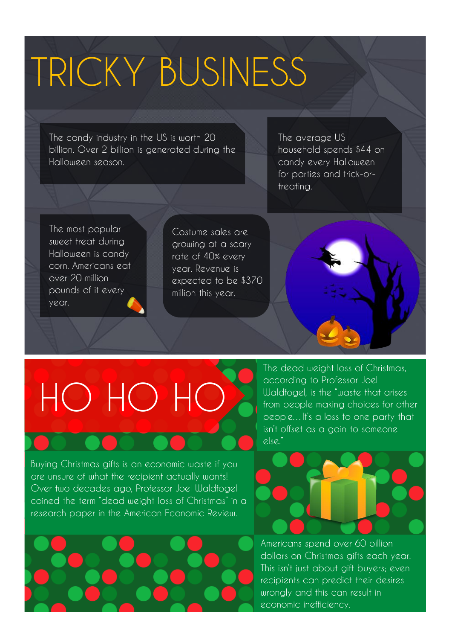### TRICKY BUSINESS

The candy industry in the US is worth 20 billion. Over 2 billion is generated during the Halloween season.

The average US household spends \$44 on candy every Halloween for parties and trick-ortreating.

The most popular sweet treat during Halloween is candy corn. Americans eat over 20 million pounds of it every year.

Costume sales are growing at a scary rate of 40% every year. Revenue is expected to be \$370 million this year.



# HO HO HO

Buying Christmas gifts is an economic waste if you are unsure of what the recipient actually wants! Over two decades ago, Professor Joel Waldfogel coined the term "dead weight loss of Christmas" in a research paper in the American Economic Review.



The dead weight loss of Christmas, according to Professor Joel Waldfogel, is the "waste that arises from people making choices for other people…It's a loss to one party that isn't offset as a gain to someone else."



Americans spend over 60 billion dollars on Christmas gifts each year. This isn't just about gift buyers; even recipients can predict their desires wrongly and this can result in economic inefficiency.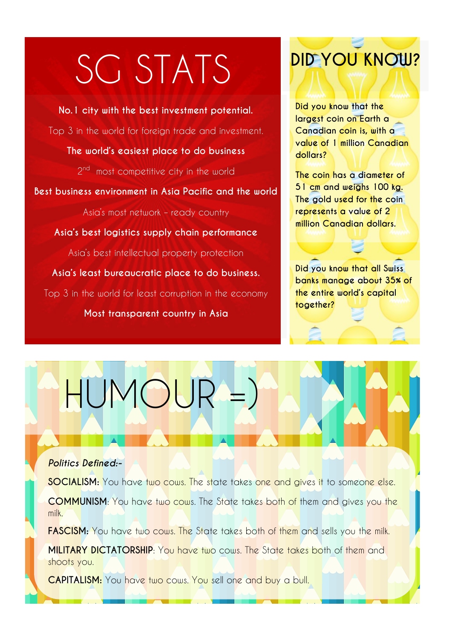### SG STATS

**No.1 city with the best investment potential.** Top 3 in the world for foreign trade and investment. **The world's easiest place to do business** 2<sup>nd</sup> most competitive city in the world **Best business environment in Asia Pacific and the world** Asia's most network – ready country **Asia's best logistics supply chain performance** Asia's best intellectual property protection **Asia's least bureaucratic place to do business.** Top 3 in the world for least corruption in the economy **Most transparent country in Asia**

HUMOUR =)

#### **DID YOU KNOW?**

**Did you know that the largest coin on Earth a Canadian coin is, with a value of 1 million Canadian dollars?**

**The coin has a diameter of 51 cm and weighs 100 kg. The gold used for the coin represents a value of 2 million Canadian dollars.**

**Did you know that all Swiss banks manage about 35% of the entire world's capital together?** 

#### *Politics Defined:-*

**SOCIALISM:** You have two cows. The state takes one and gives it to someone else.

**COMMUNISM**: You have two cows. The State takes both of them and gives you the milk.

**FASCISM:** You have two cows. The State takes both of them and sells you the milk.

**MILITARY DICTATORSHIP:** You have two cows. The State takes both of them and shoots you.

REPRESENTATIVE DEMOCRACY: You have two cows. Your neighbors pick someone to decide who gets

**CAPITALISM:** You have two cows. You sell one and buy a bull.